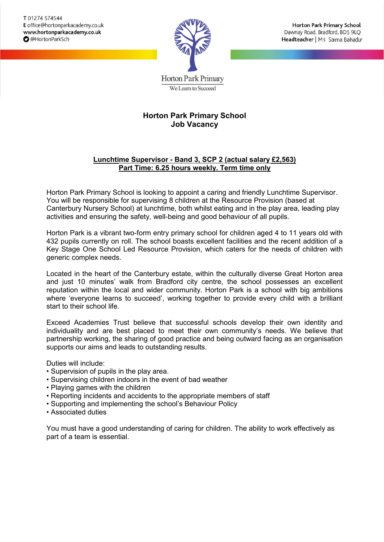

Horton Park Primary School Dawnay Road, Bradford, BD5 9LQ Headteacher | Ms Saima Bahadur

**Horton Park Primary** We Learn to Succeed

# **Horton Park Primary School Job Vacancy**

## **Lunchtime Supervisor - Band 3, SCP 2 (actual salary £2,563) Part Time: 6.25 hours weekly. Term time only**

Horton Park Primary School is looking to appoint a caring and friendly Lunchtime Supervisor. You will be responsible for supervising 8 children at the Resource Provision (based at Canterbury Nursery School) at lunchtime, both whilst eating and in the play area, leading play activities and ensuring the safety, well-being and good behaviour of all pupils.

Horton Park is a vibrant two-form entry primary school for children aged 4 to 11 years old with 432 pupils currently on roll. The school boasts excellent facilities and the recent addition of a Key Stage One School Led Resource Provision, which caters for the needs of children with generic complex needs.

Located in the heart of the Canterbury estate, within the culturally diverse Great Horton area and just 10 minutes' walk from Bradford city centre, the school possesses an excellent reputation within the local and wider community. Horton Park is a school with big ambitions where 'everyone learns to succeed', working together to provide every child with a brilliant start to their school life.

Exceed Academies Trust believe that successful schools develop their own identity and individuality and are best placed to meet their own community's needs. We believe that partnership working, the sharing of good practice and being outward facing as an organisation supports our aims and leads to outstanding results.

Duties will include:

- Supervision of pupils in the play area.
- Supervising children indoors in the event of bad weather
- Playing games with the children
- Reporting incidents and accidents to the appropriate members of staff
- Supporting and implementing the school's Behaviour Policy
- Associated duties

You must have a good understanding of caring for children. The ability to work effectively as part of a team is essential.